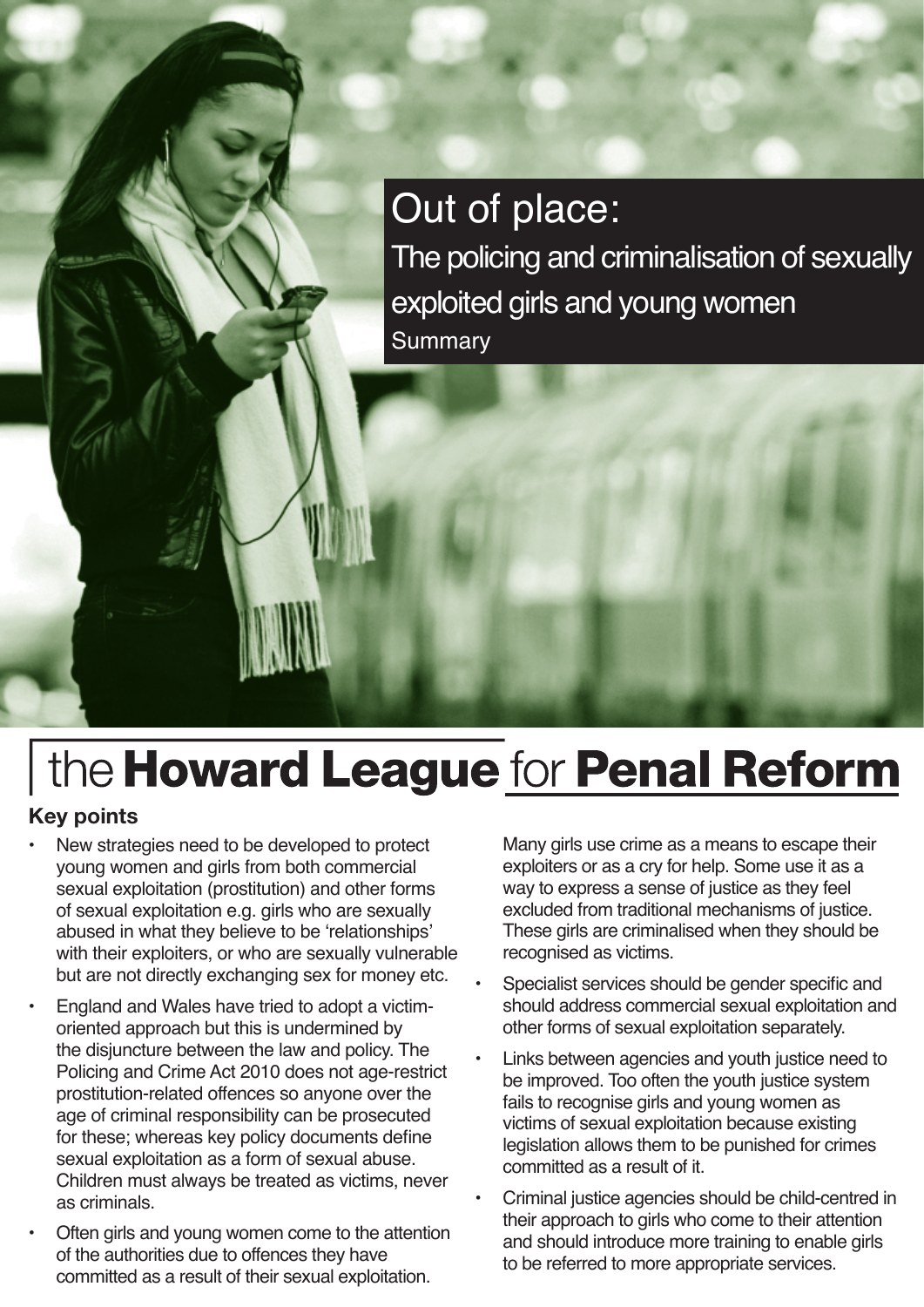## Out of place:

The policing and criminalisation of sexually exploited girls and young women **Summary** 

# the Howard League for Penal Reform

#### **Key points**

- New strategies need to be developed to protect young women and girls from both commercial sexual exploitation (prostitution) and other forms of sexual exploitation e.g. girls who are sexually abused in what they believe to be 'relationships' with their exploiters, or who are sexually vulnerable but are not directly exchanging sex for money etc.
- England and Wales have tried to adopt a victimoriented approach but this is undermined by the disjuncture between the law and policy. The Policing and Crime Act 2010 does not age-restrict prostitution-related offences so anyone over the age of criminal responsibility can be prosecuted for these; whereas key policy documents define sexual exploitation as a form of sexual abuse. Children must always be treated as victims, never as criminals.
- Often girls and young women come to the attention of the authorities due to offences they have committed as a result of their sexual exploitation.

Many girls use crime as a means to escape their exploiters or as a cry for help. Some use it as a way to express a sense of justice as they feel excluded from traditional mechanisms of justice. These girls are criminalised when they should be recognised as victims.

- Specialist services should be gender specific and should address commercial sexual exploitation and other forms of sexual exploitation separately.
- Links between agencies and youth justice need to be improved. Too often the youth justice system fails to recognise girls and young women as victims of sexual exploitation because existing legislation allows them to be punished for crimes committed as a result of it.
- Criminal justice agencies should be child-centred in their approach to girls who come to their attention and should introduce more training to enable girls to be referred to more appropriate services.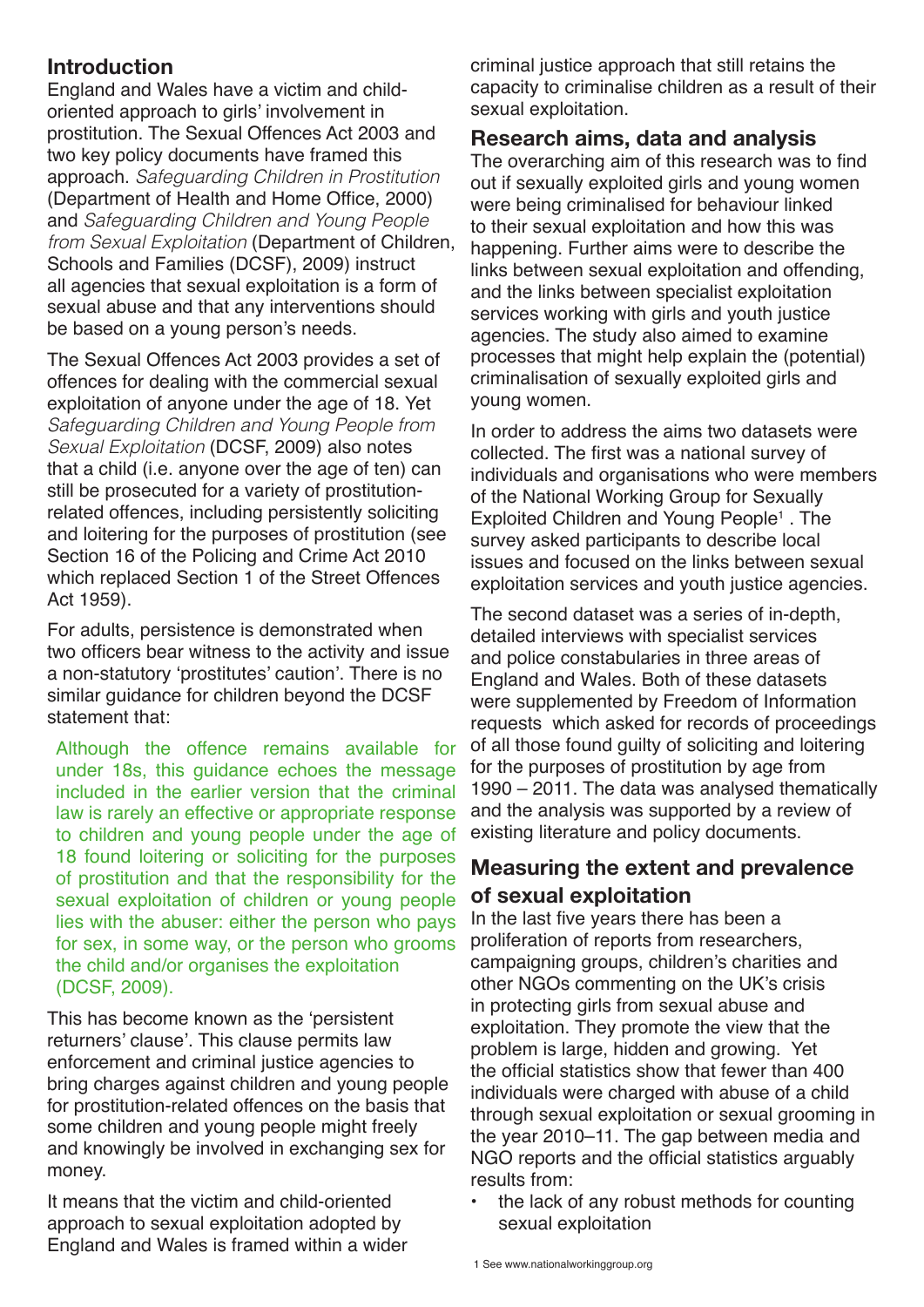#### **Introduction**

England and Wales have a victim and childoriented approach to girls' involvement in prostitution. The Sexual Offences Act 2003 and two key policy documents have framed this approach. *Safeguarding Children in Prostitution*  (Department of Health and Home Office, 2000) and *Safeguarding Children and Young People from Sexual Exploitation* (Department of Children, Schools and Families (DCSF), 2009) instruct all agencies that sexual exploitation is a form of sexual abuse and that any interventions should be based on a young person's needs.

The Sexual Offences Act 2003 provides a set of offences for dealing with the commercial sexual exploitation of anyone under the age of 18. Yet *Safeguarding Children and Young People from Sexual Exploitation* (DCSF, 2009) also notes that a child (i.e. anyone over the age of ten) can still be prosecuted for a variety of prostitutionrelated offences, including persistently soliciting and loitering for the purposes of prostitution (see Section 16 of the Policing and Crime Act 2010 which replaced Section 1 of the Street Offences Act 1959).

For adults, persistence is demonstrated when two officers bear witness to the activity and issue a non-statutory 'prostitutes' caution'. There is no similar guidance for children beyond the DCSF statement that:

Although the offence remains available for under 18s, this guidance echoes the message included in the earlier version that the criminal law is rarely an effective or appropriate response to children and young people under the age of 18 found loitering or soliciting for the purposes of prostitution and that the responsibility for the sexual exploitation of children or young people lies with the abuser: either the person who pays for sex, in some way, or the person who grooms the child and/or organises the exploitation (DCSF, 2009).

This has become known as the 'persistent returners' clause'. This clause permits law enforcement and criminal justice agencies to bring charges against children and young people for prostitution-related offences on the basis that some children and young people might freely and knowingly be involved in exchanging sex for money.

It means that the victim and child-oriented approach to sexual exploitation adopted by England and Wales is framed within a wider criminal justice approach that still retains the capacity to criminalise children as a result of their sexual exploitation.

#### **Research aims, data and analysis**

The overarching aim of this research was to find out if sexually exploited girls and young women were being criminalised for behaviour linked to their sexual exploitation and how this was happening. Further aims were to describe the links between sexual exploitation and offending, and the links between specialist exploitation services working with girls and youth justice agencies. The study also aimed to examine processes that might help explain the (potential) criminalisation of sexually exploited girls and young women.

In order to address the aims two datasets were collected. The first was a national survey of individuals and organisations who were members of the National Working Group for Sexually Exploited Children and Young People<sup>1</sup>. The survey asked participants to describe local issues and focused on the links between sexual exploitation services and youth justice agencies.

The second dataset was a series of in-depth, detailed interviews with specialist services and police constabularies in three areas of England and Wales. Both of these datasets were supplemented by Freedom of Information requests which asked for records of proceedings of all those found guilty of soliciting and loitering for the purposes of prostitution by age from 1990 – 2011. The data was analysed thematically and the analysis was supported by a review of existing literature and policy documents.

#### **Measuring the extent and prevalence of sexual exploitation**

In the last five years there has been a proliferation of reports from researchers, campaigning groups, children's charities and other NGOs commenting on the UK's crisis in protecting girls from sexual abuse and exploitation. They promote the view that the problem is large, hidden and growing. Yet the official statistics show that fewer than 400 individuals were charged with abuse of a child through sexual exploitation or sexual grooming in the year 2010–11. The gap between media and NGO reports and the official statistics arguably results from:

the lack of any robust methods for counting sexual exploitation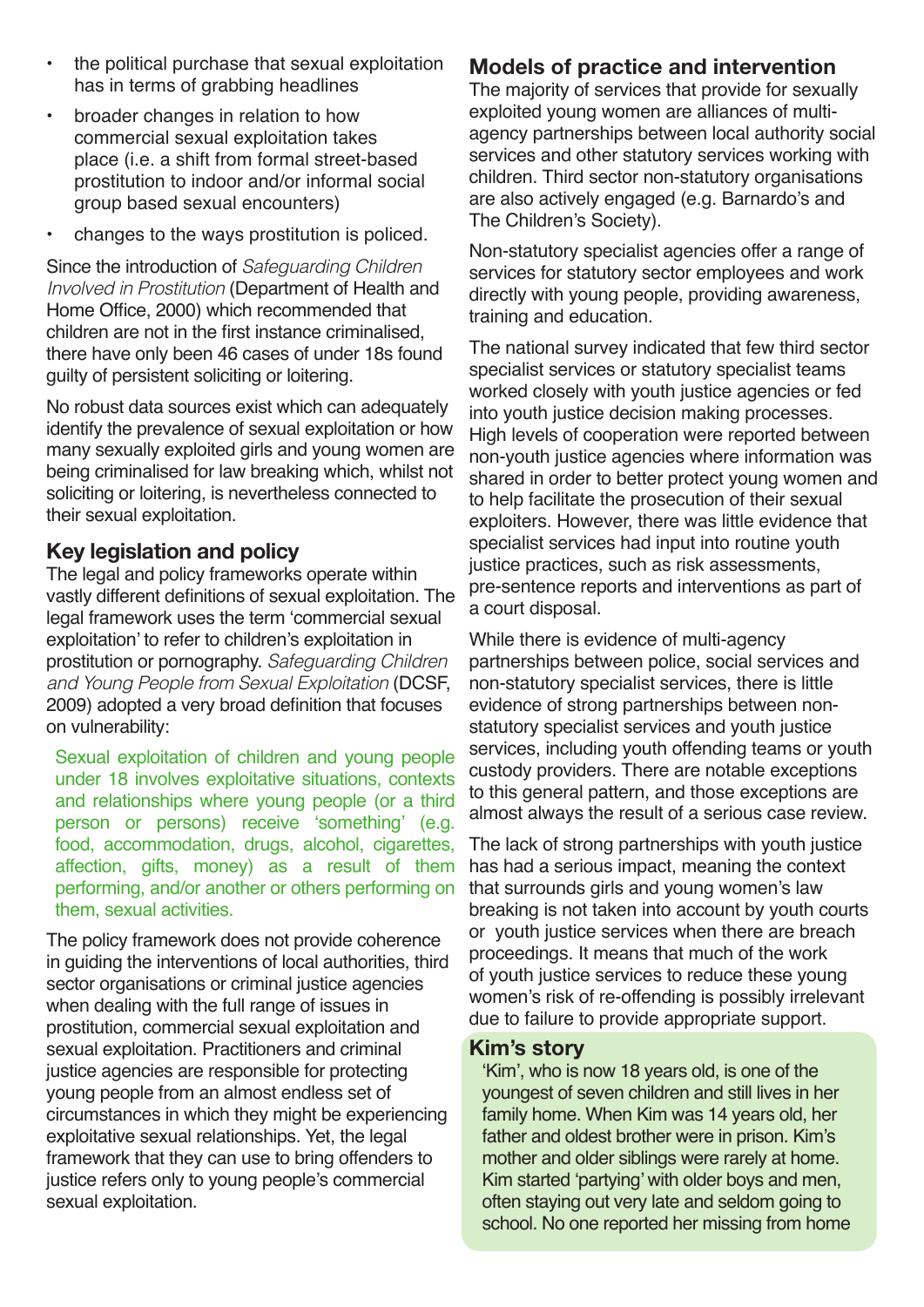- the political purchase that sexual exploitation has in terms of grabbing headlines
- broader changes in relation to how commercial sexual exploitation takes place (i.e. a shift from formal street-based prostitution to indoor and/or informal social group based sexual encounters)
- changes to the ways prostitution is policed.

Since the introduction of *Safeguarding Children Involved in Prostitution* (Department of Health and Home Office, 2000) which recommended that children are not in the first instance criminalised, there have only been 46 cases of under 18s found guilty of persistent soliciting or loitering.

No robust data sources exist which can adequately identify the prevalence of sexual exploitation or how many sexually exploited girls and young women are being criminalised for law breaking which, whilst not soliciting or loitering, is nevertheless connected to their sexual exploitation.

#### **Key legislation and policy**

The legal and policy frameworks operate within vastly different definitions of sexual exploitation. The legal framework uses the term 'commercial sexual exploitation' to refer to children's exploitation in prostitution or pornography. *Safeguarding Children and Young People from Sexual Exploitation* (DCSF, 2009) adopted a very broad definition that focuses on vulnerability:

Sexual exploitation of children and young people under 18 involves exploitative situations, contexts and relationships where young people (or a third person or persons) receive 'something' (e.g. food, accommodation, drugs, alcohol, cigarettes, affection, gifts, money) as a result of them performing, and/or another or others performing on them, sexual activities.

The policy framework does not provide coherence in guiding the interventions of local authorities, third sector organisations or criminal justice agencies when dealing with the full range of issues in prostitution, commercial sexual exploitation and sexual exploitation. Practitioners and criminal justice agencies are responsible for protecting young people from an almost endless set of circumstances in which they might be experiencing exploitative sexual relationships. Yet, the legal framework that they can use to bring offenders to justice refers only to young people's commercial sexual exploitation.

#### **Models of practice and intervention**

The majority of services that provide for sexually exploited young women are alliances of multiagency partnerships between local authority social services and other statutory services working with children. Third sector non-statutory organisations are also actively engaged (e.g. Barnardo's and The Children's Society).

Non-statutory specialist agencies offer a range of services for statutory sector employees and work directly with young people, providing awareness, training and education.

The national survey indicated that few third sector specialist services or statutory specialist teams worked closely with youth justice agencies or fed into youth justice decision making processes. High levels of cooperation were reported between non-youth justice agencies where information was shared in order to better protect young women and to help facilitate the prosecution of their sexual exploiters. However, there was little evidence that specialist services had input into routine youth justice practices, such as risk assessments, pre-sentence reports and interventions as part of a court disposal.

While there is evidence of multi-agency partnerships between police, social services and non-statutory specialist services, there is little evidence of strong partnerships between nonstatutory specialist services and youth justice services, including youth offending teams or youth custody providers. There are notable exceptions to this general pattern, and those exceptions are almost always the result of a serious case review.

The lack of strong partnerships with youth justice has had a serious impact, meaning the context that surrounds girls and young women's law breaking is not taken into account by youth courts or youth justice services when there are breach proceedings. It means that much of the work of youth justice services to reduce these young women's risk of re-offending is possibly irrelevant due to failure to provide appropriate support.

#### **Kim's story**

'Kim', who is now 18 years old, is one of the youngest of seven children and still lives in her family home. When Kim was 14 years old, her father and oldest brother were in prison. Kim's mother and older siblings were rarely at home. Kim started 'partying' with older boys and men, often staying out very late and seldom going to school. No one reported her missing from home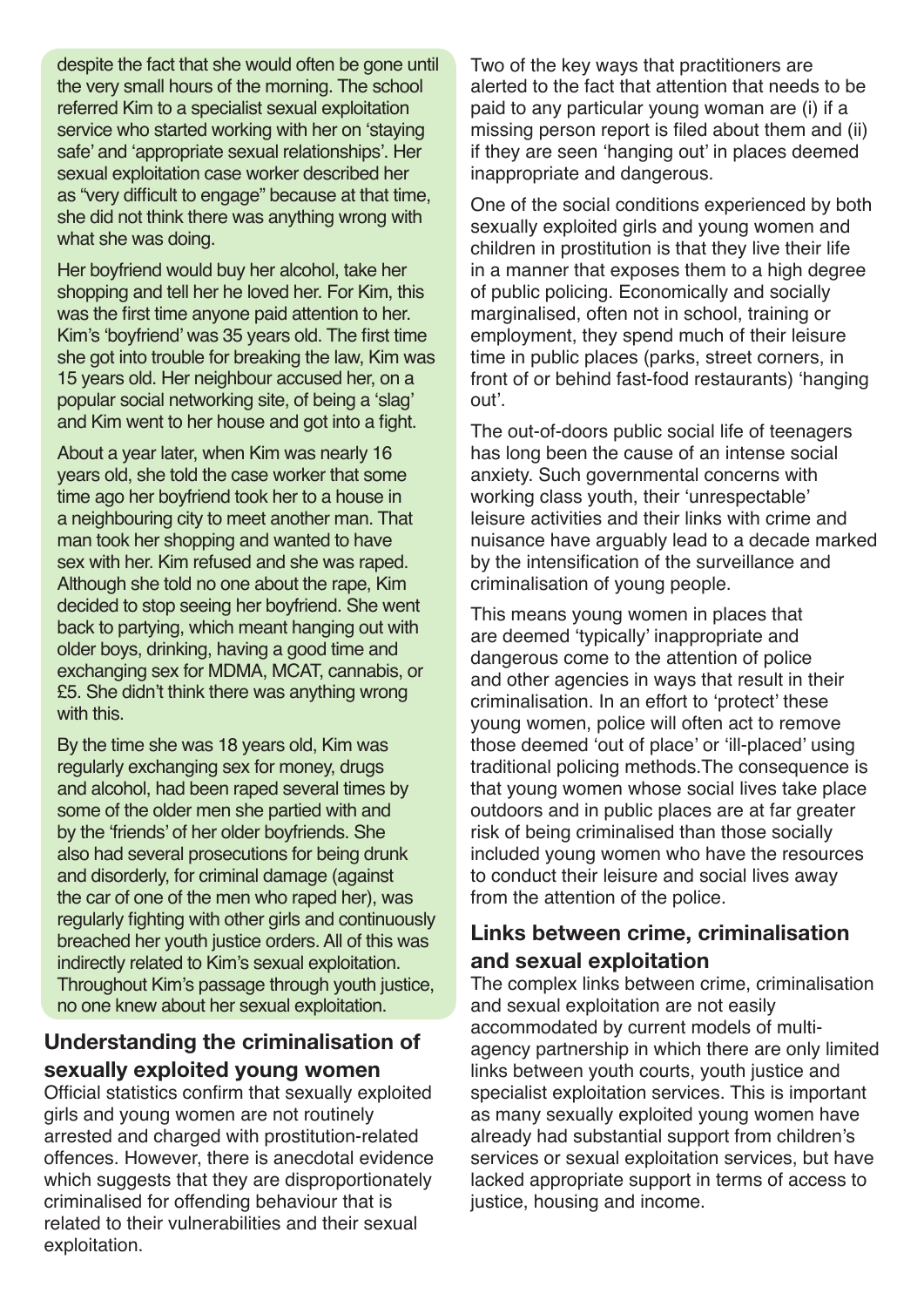despite the fact that she would often be gone until the very small hours of the morning. The school referred Kim to a specialist sexual exploitation service who started working with her on 'staying safe' and 'appropriate sexual relationships'. Her sexual exploitation case worker described her as "very difficult to engage" because at that time, she did not think there was anything wrong with what she was doing.

Her boyfriend would buy her alcohol, take her shopping and tell her he loved her. For Kim, this was the first time anyone paid attention to her. Kim's 'boyfriend' was 35 years old. The first time she got into trouble for breaking the law, Kim was 15 years old. Her neighbour accused her, on a popular social networking site, of being a 'slag' and Kim went to her house and got into a fight.

About a year later, when Kim was nearly 16 years old, she told the case worker that some time ago her boyfriend took her to a house in a neighbouring city to meet another man. That man took her shopping and wanted to have sex with her. Kim refused and she was raped. Although she told no one about the rape, Kim decided to stop seeing her boyfriend. She went back to partying, which meant hanging out with older boys, drinking, having a good time and exchanging sex for MDMA, MCAT, cannabis, or £5. She didn't think there was anything wrong with this.

By the time she was 18 years old, Kim was regularly exchanging sex for money, drugs and alcohol, had been raped several times by some of the older men she partied with and by the 'friends' of her older boyfriends. She also had several prosecutions for being drunk and disorderly, for criminal damage (against the car of one of the men who raped her), was regularly fighting with other girls and continuously breached her youth justice orders. All of this was indirectly related to Kim's sexual exploitation. Throughout Kim's passage through youth justice, no one knew about her sexual exploitation.

#### **Understanding the criminalisation of sexually exploited young women**

Official statistics confirm that sexually exploited girls and young women are not routinely arrested and charged with prostitution-related offences. However, there is anecdotal evidence which suggests that they are disproportionately criminalised for offending behaviour that is related to their vulnerabilities and their sexual exploitation.

Two of the key ways that practitioners are alerted to the fact that attention that needs to be paid to any particular young woman are (i) if a missing person report is filed about them and (ii) if they are seen 'hanging out' in places deemed inappropriate and dangerous.

One of the social conditions experienced by both sexually exploited girls and young women and children in prostitution is that they live their life in a manner that exposes them to a high degree of public policing. Economically and socially marginalised, often not in school, training or employment, they spend much of their leisure time in public places (parks, street corners, in front of or behind fast-food restaurants) 'hanging out'.

The out-of-doors public social life of teenagers has long been the cause of an intense social anxiety. Such governmental concerns with working class youth, their 'unrespectable' leisure activities and their links with crime and nuisance have arguably lead to a decade marked by the intensification of the surveillance and criminalisation of young people.

This means young women in places that are deemed 'typically' inappropriate and dangerous come to the attention of police and other agencies in ways that result in their criminalisation. In an effort to 'protect' these young women, police will often act to remove those deemed 'out of place' or 'ill-placed' using traditional policing methods.The consequence is that young women whose social lives take place outdoors and in public places are at far greater risk of being criminalised than those socially included young women who have the resources to conduct their leisure and social lives away from the attention of the police.

#### **Links between crime, criminalisation and sexual exploitation**

The complex links between crime, criminalisation and sexual exploitation are not easily accommodated by current models of multiagency partnership in which there are only limited links between youth courts, youth justice and specialist exploitation services. This is important as many sexually exploited young women have already had substantial support from children's services or sexual exploitation services, but have lacked appropriate support in terms of access to justice, housing and income.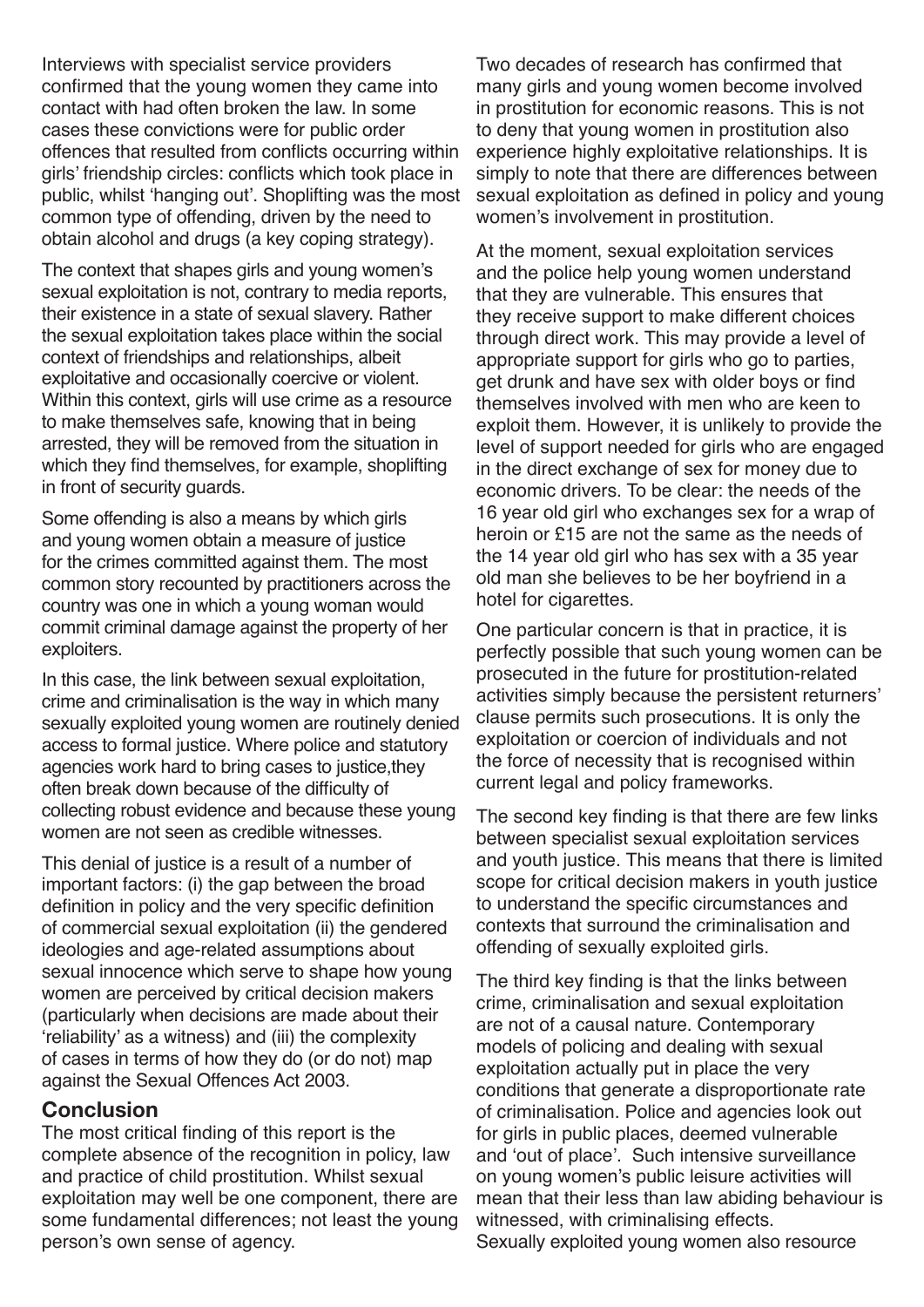Interviews with specialist service providers confirmed that the young women they came into contact with had often broken the law. In some cases these convictions were for public order offences that resulted from conflicts occurring within girls' friendship circles: conflicts which took place in public, whilst 'hanging out'. Shoplifting was the most common type of offending, driven by the need to obtain alcohol and drugs (a key coping strategy).

The context that shapes girls and young women's sexual exploitation is not, contrary to media reports, their existence in a state of sexual slavery. Rather the sexual exploitation takes place within the social context of friendships and relationships, albeit exploitative and occasionally coercive or violent. Within this context, girls will use crime as a resource to make themselves safe, knowing that in being arrested, they will be removed from the situation in which they find themselves, for example, shoplifting in front of security guards.

Some offending is also a means by which girls and young women obtain a measure of justice for the crimes committed against them. The most common story recounted by practitioners across the country was one in which a young woman would commit criminal damage against the property of her exploiters.

In this case, the link between sexual exploitation, crime and criminalisation is the way in which many sexually exploited young women are routinely denied access to formal justice. Where police and statutory agencies work hard to bring cases to justice,they often break down because of the difficulty of collecting robust evidence and because these young women are not seen as credible witnesses.

This denial of justice is a result of a number of important factors: (i) the gap between the broad definition in policy and the very specific definition of commercial sexual exploitation (ii) the gendered ideologies and age-related assumptions about sexual innocence which serve to shape how young women are perceived by critical decision makers (particularly when decisions are made about their 'reliability' as a witness) and (iii) the complexity of cases in terms of how they do (or do not) map against the Sexual Offences Act 2003.

#### **Conclusion**

The most critical finding of this report is the complete absence of the recognition in policy, law and practice of child prostitution. Whilst sexual exploitation may well be one component, there are some fundamental differences; not least the young person's own sense of agency.

Two decades of research has confirmed that many girls and young women become involved in prostitution for economic reasons. This is not to deny that young women in prostitution also experience highly exploitative relationships. It is simply to note that there are differences between sexual exploitation as defined in policy and young women's involvement in prostitution.

At the moment, sexual exploitation services and the police help young women understand that they are vulnerable. This ensures that they receive support to make different choices through direct work. This may provide a level of appropriate support for girls who go to parties, get drunk and have sex with older boys or find themselves involved with men who are keen to exploit them. However, it is unlikely to provide the level of support needed for girls who are engaged in the direct exchange of sex for money due to economic drivers. To be clear: the needs of the 16 year old girl who exchanges sex for a wrap of heroin or £15 are not the same as the needs of the 14 year old girl who has sex with a 35 year old man she believes to be her boyfriend in a hotel for cigarettes.

One particular concern is that in practice, it is perfectly possible that such young women can be prosecuted in the future for prostitution-related activities simply because the persistent returners' clause permits such prosecutions. It is only the exploitation or coercion of individuals and not the force of necessity that is recognised within current legal and policy frameworks.

The second key finding is that there are few links between specialist sexual exploitation services and youth justice. This means that there is limited scope for critical decision makers in youth justice to understand the specific circumstances and contexts that surround the criminalisation and offending of sexually exploited girls.

The third key finding is that the links between crime, criminalisation and sexual exploitation are not of a causal nature. Contemporary models of policing and dealing with sexual exploitation actually put in place the very conditions that generate a disproportionate rate of criminalisation. Police and agencies look out for girls in public places, deemed vulnerable and 'out of place'. Such intensive surveillance on young women's public leisure activities will mean that their less than law abiding behaviour is witnessed, with criminalising effects. Sexually exploited young women also resource